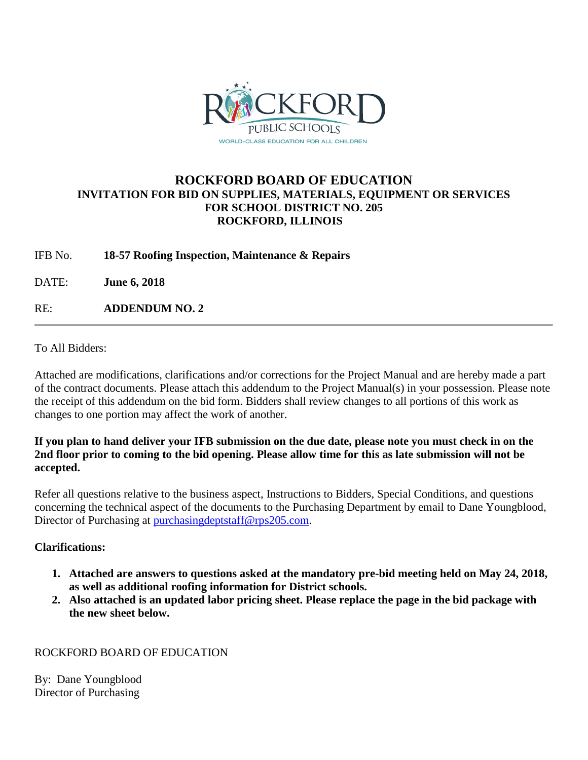

# **ROCKFORD BOARD OF EDUCATION INVITATION FOR BID ON SUPPLIES, MATERIALS, EQUIPMENT OR SERVICES FOR SCHOOL DISTRICT NO. 205 ROCKFORD, ILLINOIS**

IFB No. **18-57 Roofing Inspection, Maintenance & Repairs**

DATE: **June 6, 2018**

RE: **ADDENDUM NO. 2**

To All Bidders:

Attached are modifications, clarifications and/or corrections for the Project Manual and are hereby made a part of the contract documents. Please attach this addendum to the Project Manual(s) in your possession. Please note the receipt of this addendum on the bid form. Bidders shall review changes to all portions of this work as changes to one portion may affect the work of another.

## **If you plan to hand deliver your IFB submission on the due date, please note you must check in on the 2nd floor prior to coming to the bid opening. Please allow time for this as late submission will not be accepted.**

Refer all questions relative to the business aspect, Instructions to Bidders, Special Conditions, and questions concerning the technical aspect of the documents to the Purchasing Department by email to Dane Youngblood, Director of Purchasing at [purchasingdeptstaff@rps205.com.](mailto:purchasingdeptstaff@rps205.com)

# **Clarifications:**

- **1. Attached are answers to questions asked at the mandatory pre-bid meeting held on May 24, 2018, as well as additional roofing information for District schools.**
- **2. Also attached is an updated labor pricing sheet. Please replace the page in the bid package with the new sheet below.**

# ROCKFORD BOARD OF EDUCATION

By: Dane Youngblood Director of Purchasing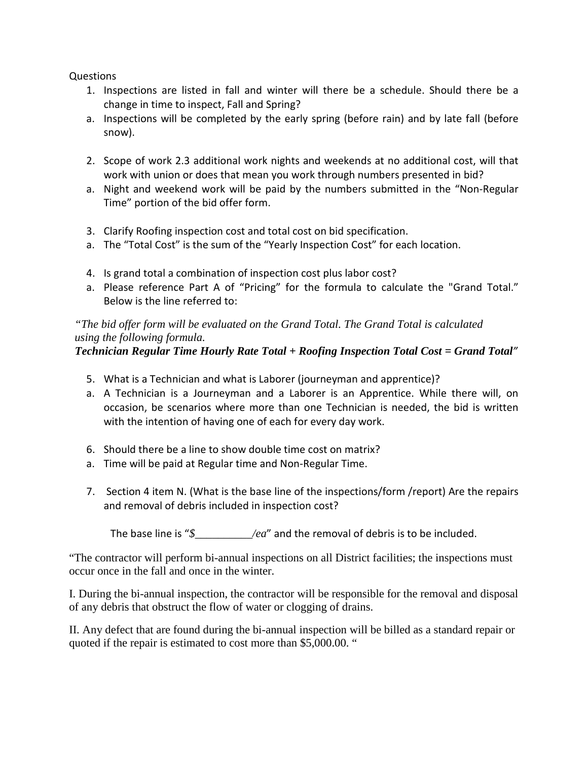Questions

- 1. Inspections are listed in fall and winter will there be a schedule. Should there be a change in time to inspect, Fall and Spring?
- a. Inspections will be completed by the early spring (before rain) and by late fall (before snow).
- 2. Scope of work 2.3 additional work nights and weekends at no additional cost, will that work with union or does that mean you work through numbers presented in bid?
- a. Night and weekend work will be paid by the numbers submitted in the "Non-Regular Time" portion of the bid offer form.
- 3. Clarify Roofing inspection cost and total cost on bid specification.
- a. The "Total Cost" is the sum of the "Yearly Inspection Cost" for each location.
- 4. Is grand total a combination of inspection cost plus labor cost?
- a. Please reference Part A of "Pricing" for the formula to calculate the "Grand Total." Below is the line referred to:

*"The bid offer form will be evaluated on the Grand Total. The Grand Total is calculated using the following formula.* 

# *Technician Regular Time Hourly Rate Total + Roofing Inspection Total Cost = Grand Total"*

- 5. What is a Technician and what is Laborer (journeyman and apprentice)?
- a. A Technician is a Journeyman and a Laborer is an Apprentice. While there will, on occasion, be scenarios where more than one Technician is needed, the bid is written with the intention of having one of each for every day work.
- 6. Should there be a line to show double time cost on matrix?
- a. Time will be paid at Regular time and Non-Regular Time.
- 7. Section 4 item N. (What is the base line of the inspections/form /report) Are the repairs and removal of debris included in inspection cost?

The base line is " $\oint$  *ou*" and the removal of debris is to be included.

"The contractor will perform bi-annual inspections on all District facilities; the inspections must occur once in the fall and once in the winter.

I. During the bi-annual inspection, the contractor will be responsible for the removal and disposal of any debris that obstruct the flow of water or clogging of drains.

II. Any defect that are found during the bi-annual inspection will be billed as a standard repair or quoted if the repair is estimated to cost more than \$5,000.00. "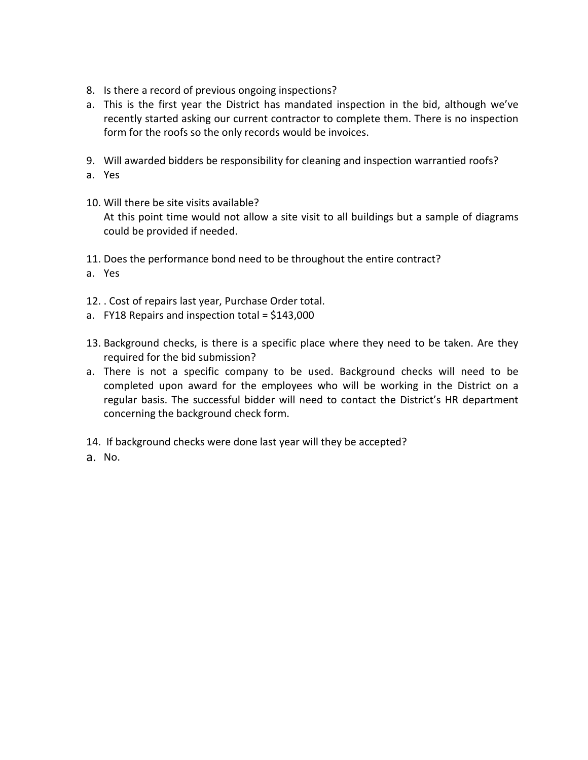- 8. Is there a record of previous ongoing inspections?
- a. This is the first year the District has mandated inspection in the bid, although we've recently started asking our current contractor to complete them. There is no inspection form for the roofs so the only records would be invoices.
- 9. Will awarded bidders be responsibility for cleaning and inspection warrantied roofs?
- a. Yes
- 10. Will there be site visits available? At this point time would not allow a site visit to all buildings but a sample of diagrams could be provided if needed.
- 11. Does the performance bond need to be throughout the entire contract?
- a. Yes
- 12. . Cost of repairs last year, Purchase Order total.
- a. FY18 Repairs and inspection total =  $$143,000$
- 13. Background checks, is there is a specific place where they need to be taken. Are they required for the bid submission?
- a. There is not a specific company to be used. Background checks will need to be completed upon award for the employees who will be working in the District on a regular basis. The successful bidder will need to contact the District's HR department concerning the background check form.
- 14. If background checks were done last year will they be accepted?
- a. No.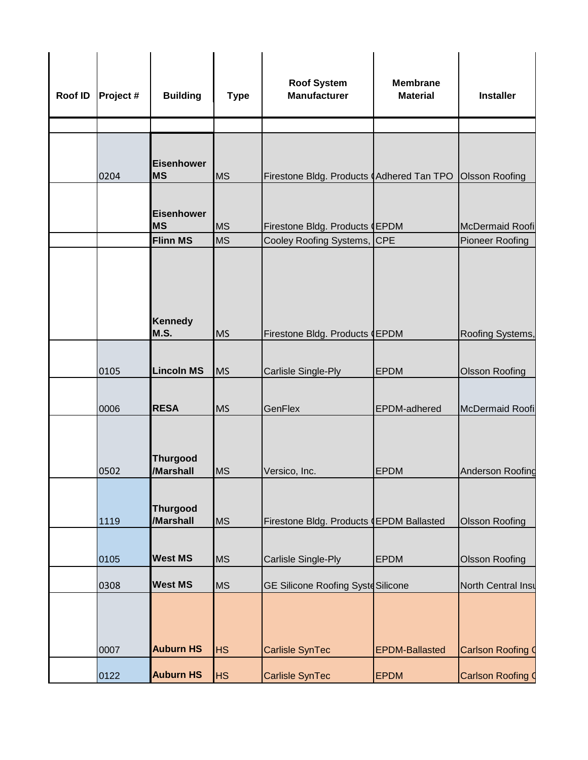| Roof ID | Project # | <b>Building</b>                | <b>Type</b> | <b>Roof System</b><br><b>Manufacturer</b> | <b>Membrane</b><br><b>Material</b> | <b>Installer</b>          |
|---------|-----------|--------------------------------|-------------|-------------------------------------------|------------------------------------|---------------------------|
|         |           |                                |             |                                           |                                    |                           |
|         | 0204      | Eisenhower<br><b>MS</b>        | <b>MS</b>   | Firestone Bldg. Products (Adhered Tan TPO |                                    | <b>Olsson Roofing</b>     |
|         |           | <b>Eisenhower</b><br><b>MS</b> | <b>MS</b>   | Firestone Bldg. Products (EPDM            |                                    | McDermaid Roofi           |
|         |           | <b>Flinn MS</b>                | <b>MS</b>   | Cooley Roofing Systems, CPE               |                                    | <b>Pioneer Roofing</b>    |
|         |           | <b>Kennedy</b><br>M.S.         | <b>MS</b>   | Firestone Bldg. Products (EPDM            |                                    | Roofing Systems,          |
|         | 0105      | <b>Lincoln MS</b>              | <b>MS</b>   | Carlisle Single-Ply                       | <b>EPDM</b>                        | <b>Olsson Roofing</b>     |
|         | 0006      | <b>RESA</b>                    | <b>MS</b>   | GenFlex                                   | EPDM-adhered                       | McDermaid Roofi           |
|         | 0502      | <b>Thurgood</b><br>/Marshall   | <b>MS</b>   | Versico, Inc.                             | <b>EPDM</b>                        | Anderson Roofing          |
|         | 1119      | <b>Thurgood</b><br>/Marshall   | <b>MS</b>   | Firestone Bldg. Products (EPDM Ballasted  |                                    | <b>Olsson Roofing</b>     |
|         | 0105      | <b>West MS</b>                 | <b>MS</b>   | Carlisle Single-Ply                       | <b>EPDM</b>                        | Olsson Roofing            |
|         | 0308      | <b>West MS</b>                 | <b>MS</b>   | <b>GE Silicone Roofing Syste Silicone</b> |                                    | <b>North Central Insu</b> |
|         | 0007      | <b>Auburn HS</b>               | <b>HS</b>   | Carlisle SynTec                           | <b>EPDM-Ballasted</b>              | <b>Carlson Roofing (</b>  |
|         | 0122      | <b>Auburn HS</b>               | <b>HS</b>   | Carlisle SynTec                           | <b>EPDM</b>                        | <b>Carlson Roofing 0</b>  |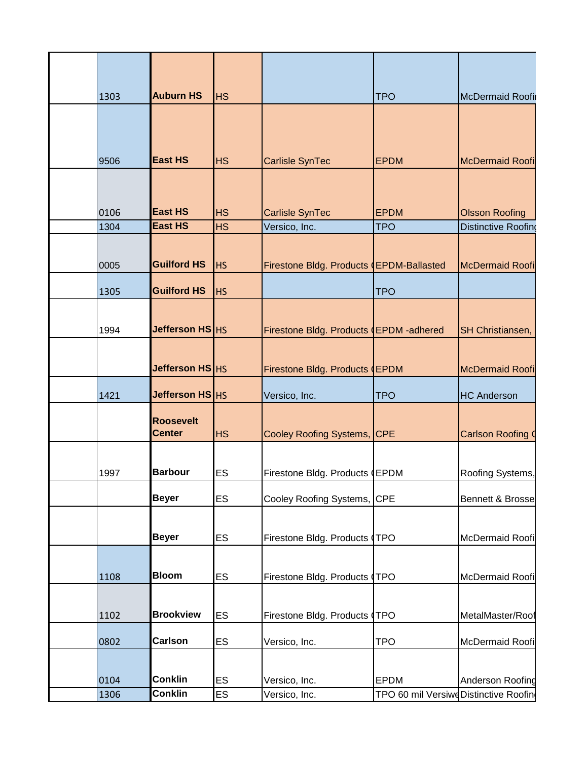| 1303         | <b>Auburn HS</b>                  | <b>HS</b>              |                                          | <b>TPO</b>                            | <b>McDermaid Roofir</b>                             |
|--------------|-----------------------------------|------------------------|------------------------------------------|---------------------------------------|-----------------------------------------------------|
|              |                                   |                        |                                          |                                       |                                                     |
| 9506         | <b>East HS</b>                    | <b>HS</b>              | <b>Carlisle SynTec</b>                   | <b>EPDM</b>                           | <b>McDermaid Roofi</b>                              |
| 0106<br>1304 | <b>East HS</b><br><b>East HS</b>  | <b>HS</b><br><b>HS</b> | <b>Carlisle SynTec</b><br>Versico, Inc.  | <b>EPDM</b><br><b>TPO</b>             | <b>Olsson Roofing</b><br><b>Distinctive Roofing</b> |
|              |                                   |                        |                                          |                                       |                                                     |
| 0005         | <b>Guilford HS</b>                | <b>HS</b>              | Firestone Bldg. Products (EPDM-Ballasted |                                       | <b>McDermaid Roofi</b>                              |
| 1305         | <b>Guilford HS</b>                | <b>HS</b>              |                                          | <b>TPO</b>                            |                                                     |
|              |                                   |                        |                                          |                                       |                                                     |
| 1994         | Jefferson HS HS                   |                        | Firestone Bldg. Products (EPDM-adhered   |                                       | SH Christiansen,                                    |
|              |                                   |                        |                                          |                                       |                                                     |
|              | Jefferson HS HS                   |                        | Firestone Bldg. Products (EPDM           |                                       | <b>McDermaid Roofi</b>                              |
| 1421         | Jefferson HS HS                   |                        | Versico, Inc.                            | <b>TPO</b>                            | <b>HC Anderson</b>                                  |
|              | <b>Roosevelt</b><br><b>Center</b> | <b>HS</b>              | Cooley Roofing Systems, CPE              |                                       | <b>Carlson Roofing C</b>                            |
| 1997         | <b>Barbour</b>                    | ES                     | Firestone Bldg. Products (EPDM           |                                       | Roofing Systems,                                    |
|              | <b>Beyer</b>                      | ES                     | Cooley Roofing Systems,                  | <b>CPE</b>                            | Bennett & Brosse                                    |
|              | <b>Beyer</b>                      | ES                     | Firestone Bldg. Products (TPO            |                                       | McDermaid Roofi                                     |
| 1108         | <b>Bloom</b>                      | ES                     | Firestone Bldg. Products (TPO            |                                       | McDermaid Roofi                                     |
|              |                                   |                        |                                          |                                       |                                                     |
| 1102         | <b>Brookview</b>                  | ES                     | Firestone Bldg. Products (TPO            |                                       | MetalMaster/Roof                                    |
| 0802         | <b>Carlson</b>                    | ES                     | Versico, Inc.                            | <b>TPO</b>                            | McDermaid Roofi                                     |
|              |                                   |                        |                                          |                                       |                                                     |
| 0104         | <b>Conklin</b>                    | ES                     | Versico, Inc.                            | <b>EPDM</b>                           | Anderson Roofing                                    |
| 1306         | <b>Conklin</b>                    | ES                     | Versico, Inc.                            | TPO 60 mil Versiwe Distinctive Roofin |                                                     |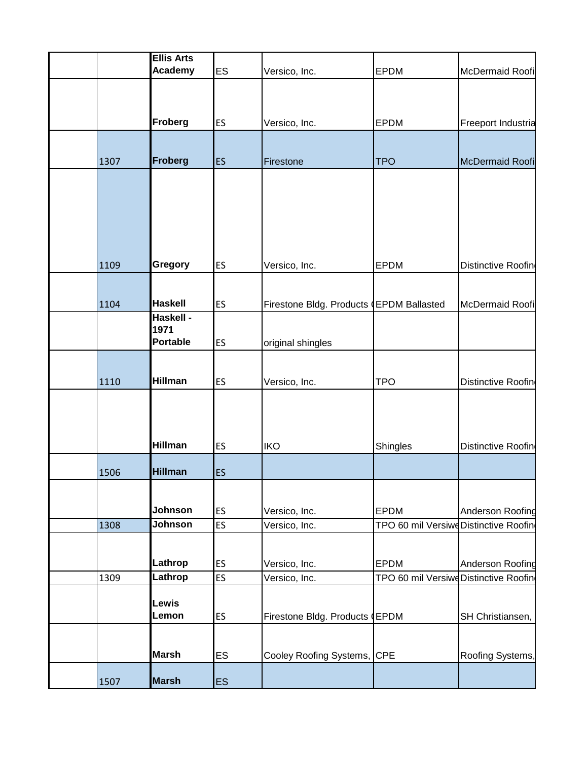|      | <b>Ellis Arts</b> |           |                                          |                                       |                    |
|------|-------------------|-----------|------------------------------------------|---------------------------------------|--------------------|
|      | Academy           | <b>ES</b> | Versico, Inc.                            | <b>EPDM</b>                           | McDermaid Roofi    |
|      |                   |           |                                          |                                       |                    |
|      |                   |           |                                          |                                       |                    |
|      | Froberg           | ES        | Versico, Inc.                            | <b>EPDM</b>                           | Freeport Industria |
|      |                   |           |                                          |                                       |                    |
|      |                   |           |                                          |                                       |                    |
| 1307 | Froberg           | ES        | Firestone                                | <b>TPO</b>                            | McDermaid Roofi    |
|      |                   |           |                                          |                                       |                    |
|      |                   |           |                                          |                                       |                    |
|      |                   |           |                                          |                                       |                    |
|      |                   |           |                                          |                                       |                    |
|      |                   |           |                                          |                                       |                    |
| 1109 | Gregory           | ES        | Versico, Inc.                            | <b>EPDM</b>                           | Distinctive Roofin |
|      |                   |           |                                          |                                       |                    |
|      |                   |           |                                          |                                       |                    |
| 1104 | <b>Haskell</b>    | <b>ES</b> | Firestone Bldg. Products (EPDM Ballasted |                                       | McDermaid Roofi    |
|      | Haskell -<br>1971 |           |                                          |                                       |                    |
|      | <b>Portable</b>   | ES        | original shingles                        |                                       |                    |
|      |                   |           |                                          |                                       |                    |
|      |                   |           |                                          |                                       |                    |
| 1110 | <b>Hillman</b>    | ES        | Versico, Inc.                            | <b>TPO</b>                            | Distinctive Roofin |
|      |                   |           |                                          |                                       |                    |
|      |                   |           |                                          |                                       |                    |
|      |                   |           |                                          |                                       |                    |
|      | <b>Hillman</b>    | ES        | <b>IKO</b>                               | <b>Shingles</b>                       | Distinctive Roofin |
| 1506 | <b>Hillman</b>    | ES        |                                          |                                       |                    |
|      |                   |           |                                          |                                       |                    |
|      |                   |           |                                          |                                       |                    |
|      | Johnson           | <b>ES</b> | Versico, Inc.                            | <b>EPDM</b>                           | Anderson Roofing   |
| 1308 | Johnson           | <b>ES</b> | Versico, Inc.                            | TPO 60 mil VersiweDistinctive Roofing |                    |
|      |                   |           |                                          |                                       |                    |
|      | Lathrop           | ES        | Versico, Inc.                            | <b>EPDM</b>                           | Anderson Roofing   |
| 1309 | Lathrop           | <b>ES</b> | Versico, Inc.                            | TPO 60 mil VersiweDistinctive Roofin  |                    |
|      |                   |           |                                          |                                       |                    |
|      | Lewis<br>Lemon    |           |                                          |                                       |                    |
|      |                   | ES        | Firestone Bldg. Products (EPDM           |                                       | SH Christiansen,   |
|      |                   |           |                                          |                                       |                    |
|      | <b>Marsh</b>      | <b>ES</b> | Cooley Roofing Systems, CPE              |                                       | Roofing Systems,   |
|      |                   |           |                                          |                                       |                    |
| 1507 | <b>Marsh</b>      | <b>ES</b> |                                          |                                       |                    |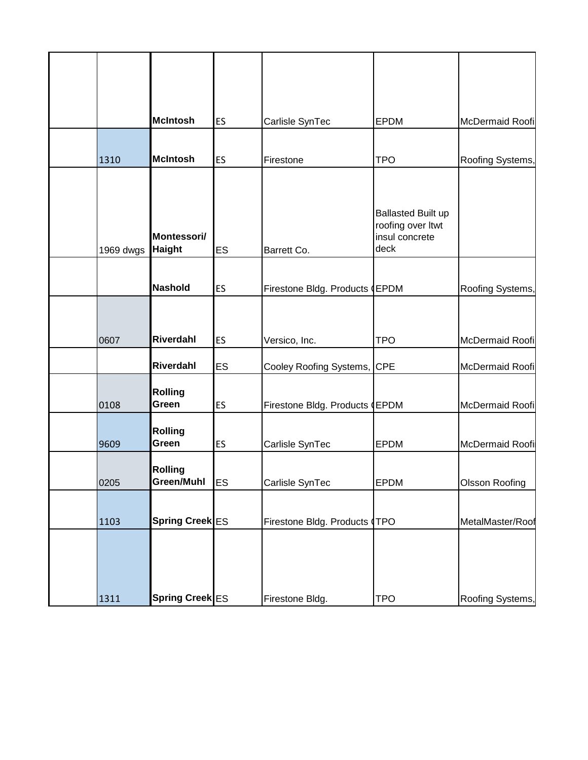|           | <b>McIntosh</b>              | ES        | Carlisle SynTec                | <b>EPDM</b>                                                              | McDermaid Roofi       |
|-----------|------------------------------|-----------|--------------------------------|--------------------------------------------------------------------------|-----------------------|
| 1310      | <b>McIntosh</b>              | ES        | Firestone                      | <b>TPO</b>                                                               | Roofing Systems,      |
| 1969 dwgs | Montessori/<br><b>Haight</b> | ES        | Barrett Co.                    | <b>Ballasted Built up</b><br>roofing over Itwt<br>insul concrete<br>deck |                       |
|           | <b>Nashold</b>               | ES        | Firestone Bldg. Products (EPDM |                                                                          | Roofing Systems,      |
| 0607      | <b>Riverdahl</b>             | ES        | Versico, Inc.                  | <b>TPO</b>                                                               | McDermaid Roofi       |
|           | Riverdahl                    | ES        | Cooley Roofing Systems,        | <b>CPE</b>                                                               | McDermaid Roofi       |
| 0108      | <b>Rolling</b><br>Green      | ES        | Firestone Bldg. Products (EPDM |                                                                          | McDermaid Roofi       |
| 9609      | <b>Rolling</b><br>Green      | ES        | Carlisle SynTec                | <b>EPDM</b>                                                              | McDermaid Roofi       |
| 0205      | <b>Rolling</b><br>Green/Muhl | <b>ES</b> | Carlisle SynTec                | <b>EPDM</b>                                                              | <b>Olsson Roofing</b> |
| 1103      | Spring Creek ES              |           | Firestone Bldg. Products (TPO  |                                                                          | MetalMaster/Roof      |
| 1311      | Spring Creek ES              |           | Firestone Bldg.                | <b>TPO</b>                                                               | Roofing Systems,      |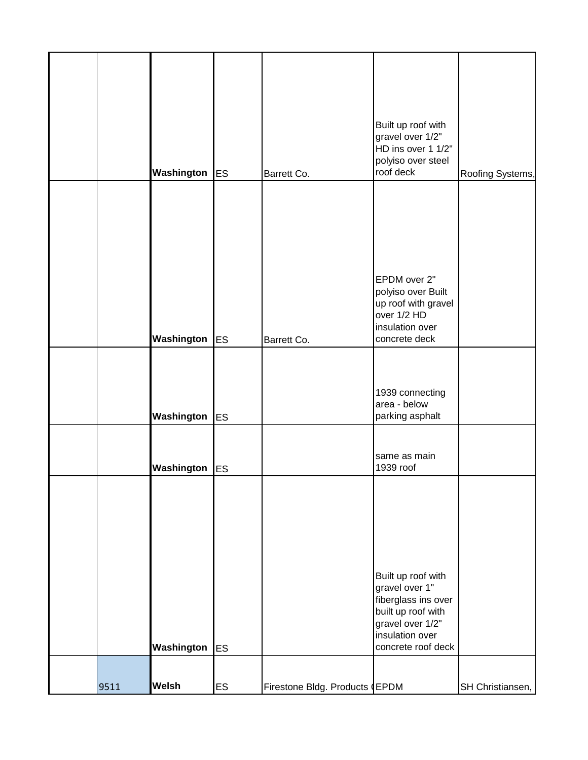|      | <b>Washington</b> ES |           | Barrett Co.                    | Built up roof with<br>gravel over 1/2"<br>HD ins over 1 1/2"<br>polyiso over steel<br>roof deck                                                | Roofing Systems, |
|------|----------------------|-----------|--------------------------------|------------------------------------------------------------------------------------------------------------------------------------------------|------------------|
|      |                      |           |                                |                                                                                                                                                |                  |
|      | Washington           | <b>ES</b> | Barrett Co.                    | EPDM over 2"<br>polyiso over Built<br>up roof with gravel<br>over 1/2 HD<br>insulation over<br>concrete deck                                   |                  |
|      | Washington           | <b>ES</b> |                                | 1939 connecting<br>area - below<br>parking asphalt                                                                                             |                  |
|      | <b>Washington</b> ES |           |                                | same as main<br>1939 roof                                                                                                                      |                  |
|      | Washington           | <b>ES</b> |                                | Built up roof with<br>gravel over 1"<br>fiberglass ins over<br>built up roof with<br>gravel over 1/2"<br>insulation over<br>concrete roof deck |                  |
| 9511 | <b>Welsh</b>         | <b>ES</b> | Firestone Bldg. Products (EPDM |                                                                                                                                                | SH Christiansen, |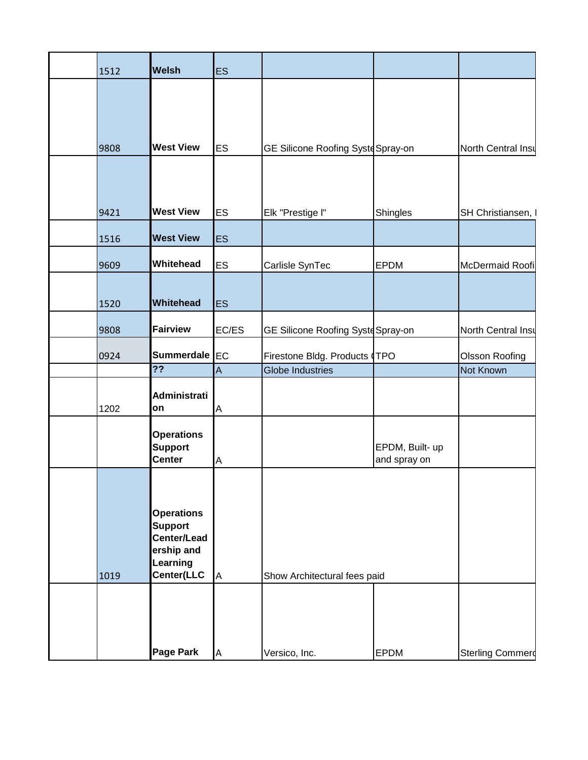| 1512 | <b>Welsh</b>                        | <b>ES</b> |                                    |                 |                         |
|------|-------------------------------------|-----------|------------------------------------|-----------------|-------------------------|
|      |                                     |           |                                    |                 |                         |
|      |                                     |           |                                    |                 |                         |
|      |                                     |           |                                    |                 |                         |
| 9808 | <b>West View</b>                    | <b>ES</b> | GE Silicone Roofing Syste Spray-on |                 | North Central Insu      |
|      |                                     |           |                                    |                 |                         |
|      |                                     |           |                                    |                 |                         |
| 9421 | <b>West View</b>                    | <b>ES</b> | Elk "Prestige I"                   | Shingles        | SH Christiansen, I      |
| 1516 | <b>West View</b>                    | <b>ES</b> |                                    |                 |                         |
| 9609 | Whitehead                           | <b>ES</b> | Carlisle SynTec                    | <b>EPDM</b>     | McDermaid Roofi         |
|      |                                     |           |                                    |                 |                         |
| 1520 | Whitehead                           | <b>ES</b> |                                    |                 |                         |
| 9808 | <b>Fairview</b>                     | EC/ES     | GE Silicone Roofing Syste Spray-on |                 | North Central Insu      |
| 0924 | Summerdale EC                       |           | Firestone Bldg. Products (TPO      |                 | Olsson Roofing          |
|      | $\overline{?}$                      | A         | <b>Globe Industries</b>            |                 | Not Known               |
|      | <b>Administrati</b>                 |           |                                    |                 |                         |
| 1202 | on                                  | Α         |                                    |                 |                         |
|      | <b>Operations</b><br><b>Support</b> |           |                                    | EPDM, Built- up |                         |
|      | <b>Center</b>                       | A         |                                    | and spray on    |                         |
|      |                                     |           |                                    |                 |                         |
|      |                                     |           |                                    |                 |                         |
|      | <b>Operations</b><br><b>Support</b> |           |                                    |                 |                         |
|      | Center/Lead                         |           |                                    |                 |                         |
|      | ership and<br>Learning              |           |                                    |                 |                         |
| 1019 | Center(LLC                          | A         | Show Architectural fees paid       |                 |                         |
|      |                                     |           |                                    |                 |                         |
|      |                                     |           |                                    |                 |                         |
|      |                                     |           |                                    |                 |                         |
|      | <b>Page Park</b>                    | A         | Versico, Inc.                      | <b>EPDM</b>     | <b>Sterling Commerd</b> |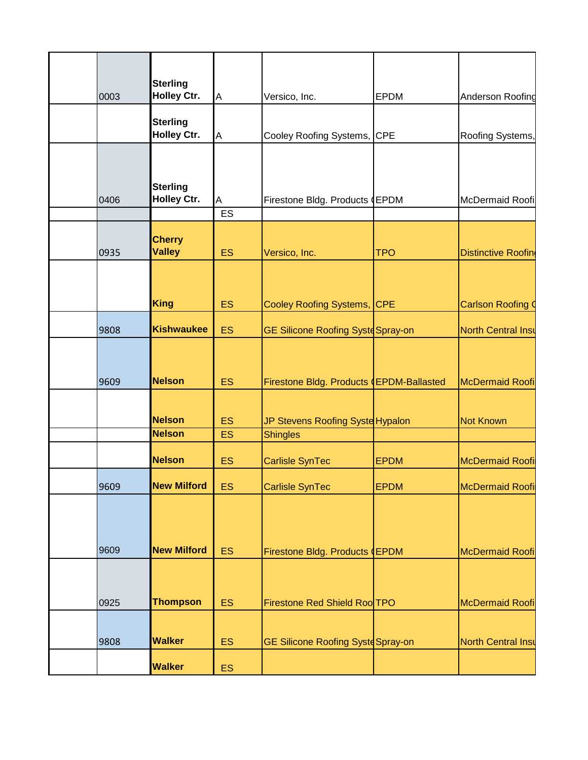| 0003 | <b>Sterling</b><br><b>Holley Ctr.</b> | Α         | Versico, Inc.                             | <b>EPDM</b> | Anderson Roofing           |
|------|---------------------------------------|-----------|-------------------------------------------|-------------|----------------------------|
|      | <b>Sterling</b>                       |           |                                           |             |                            |
|      | <b>Holley Ctr.</b>                    | A         | Cooley Roofing Systems, CPE               |             | Roofing Systems,           |
|      | <b>Sterling</b>                       |           |                                           |             |                            |
| 0406 | <b>Holley Ctr.</b>                    | Α         | Firestone Bldg. Products (EPDM            |             | McDermaid Roofi            |
|      |                                       | ES        |                                           |             |                            |
| 0935 | <b>Cherry</b><br><b>Valley</b>        | ES        | Versico, Inc.                             | <b>TPO</b>  | <b>Distinctive Roofing</b> |
|      |                                       |           |                                           |             |                            |
|      | <b>King</b>                           | ES        | Cooley Roofing Systems, CPE               |             | <b>Carlson Roofing (</b>   |
| 9808 | <b>Kishwaukee</b>                     | <b>ES</b> | GE Silicone Roofing Syste Spray-on        |             | <b>North Central Insu</b>  |
|      |                                       |           |                                           |             |                            |
| 9609 | Nelson                                | <b>ES</b> | Firestone Bldg. Products (EPDM-Ballasted  |             | <b>McDermaid Roofi</b>     |
|      |                                       |           |                                           |             |                            |
|      | <b>Nelson</b>                         | <b>ES</b> | JP Stevens Roofing Syste Hypalon          |             | <b>Not Known</b>           |
|      | <b>Nelson</b>                         | ES        | <b>Shingles</b>                           |             |                            |
|      | <b>Nelson</b>                         | <b>ES</b> | <b>Carlisle SynTec</b>                    | <b>EPDM</b> | <b>McDermaid Roofi</b>     |
| 9609 | <b>New Milford</b>                    | <b>ES</b> | <b>Carlisle SynTec</b>                    | <b>EPDM</b> | McDermaid Roofi            |
|      |                                       |           |                                           |             |                            |
| 9609 | <b>New Milford</b>                    | <b>ES</b> | Firestone Bldg. Products (EPDM            |             | McDermaid Roofi            |
|      |                                       |           |                                           |             |                            |
| 0925 | <b>Thompson</b>                       | <b>ES</b> | Firestone Red Shield Roo TPO              |             | McDermaid Roofi            |
| 9808 | <b>Walker</b>                         | <b>ES</b> | <b>GE Silicone Roofing Syste Spray-on</b> |             | <b>North Central Insu</b>  |
|      | <b>Walker</b>                         | <b>ES</b> |                                           |             |                            |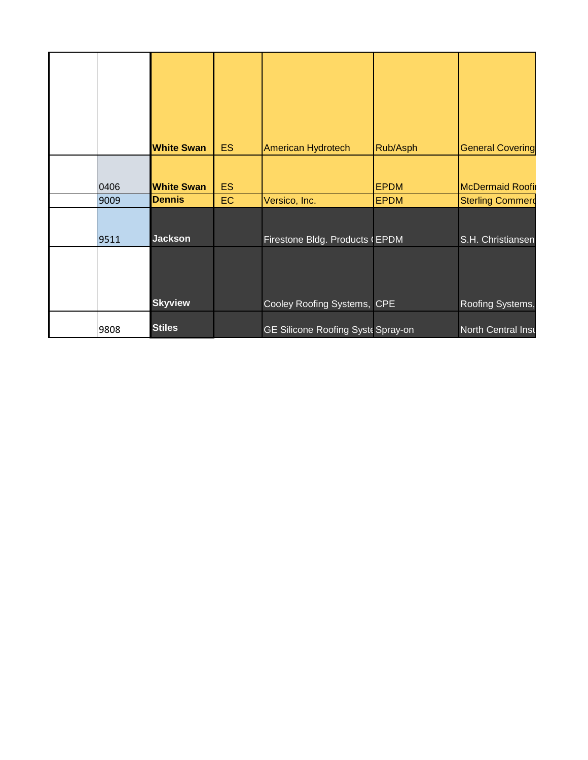|      | <b>White Swan</b> | ES.       | American Hydrotech                 | Rub/Asph    | <b>General Covering</b>   |
|------|-------------------|-----------|------------------------------------|-------------|---------------------------|
| 0406 | <b>White Swan</b> | <b>ES</b> |                                    | <b>EPDM</b> | <b>McDermaid Roofir</b>   |
| 9009 | <b>Dennis</b>     | <b>EC</b> | Versico, Inc.                      | <b>EPDM</b> | <b>Sterling Commerd</b>   |
| 9511 | <b>Jackson</b>    |           | Firestone Bldg. Products (EPDM     |             | S.H. Christiansen         |
|      | <b>Skyview</b>    |           | Cooley Roofing Systems, CPE        |             | Roofing Systems,          |
| 9808 | <b>Stiles</b>     |           | GE Silicone Roofing Syste Spray-on |             | <b>North Central Inst</b> |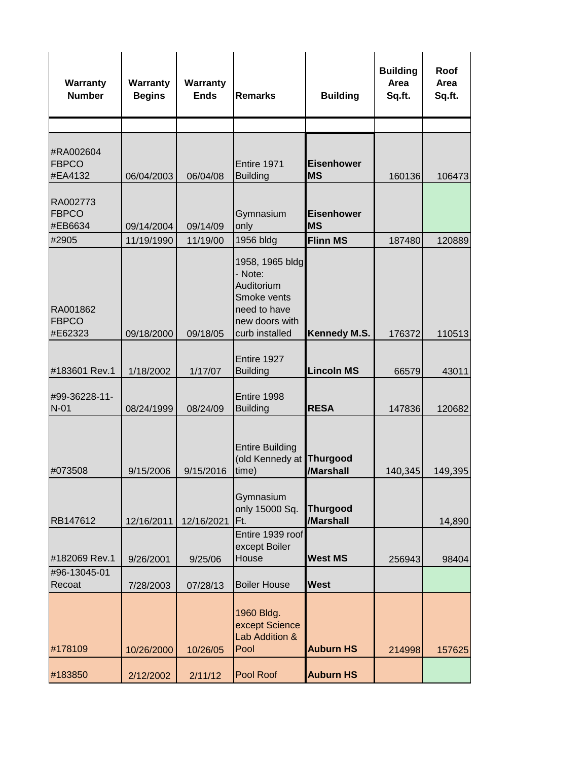| Warranty<br><b>Number</b>            | Warranty<br><b>Begins</b> | Warranty<br><b>Ends</b> | <b>Remarks</b>                                                                                              | <b>Building</b>                | <b>Building</b><br>Area<br>Sq.ft. | Roof<br>Area<br>Sq.ft. |
|--------------------------------------|---------------------------|-------------------------|-------------------------------------------------------------------------------------------------------------|--------------------------------|-----------------------------------|------------------------|
|                                      |                           |                         |                                                                                                             |                                |                                   |                        |
| #RA002604<br><b>FBPCO</b><br>#EA4132 | 06/04/2003                | 06/04/08                | Entire 1971<br><b>Building</b>                                                                              | <b>Eisenhower</b><br><b>MS</b> | 160136                            | 106473                 |
| RA002773<br><b>FBPCO</b><br>#EB6634  | 09/14/2004                | 09/14/09                | Gymnasium<br>only                                                                                           | <b>Eisenhower</b><br><b>MS</b> |                                   |                        |
| #2905                                | 11/19/1990                | 11/19/00                | 1956 bldg                                                                                                   | <b>Flinn MS</b>                | 187480                            | 120889                 |
| RA001862<br><b>FBPCO</b><br>#E62323  | 09/18/2000                | 09/18/05                | 1958, 1965 bldg<br>- Note:<br>Auditorium<br>Smoke vents<br>need to have<br>new doors with<br>curb installed | <b>Kennedy M.S.</b>            | 176372                            | 110513                 |
| #183601 Rev.1                        | 1/18/2002                 | 1/17/07                 | Entire 1927<br><b>Building</b>                                                                              | <b>Lincoln MS</b>              | 66579                             | 43011                  |
| #99-36228-11-<br>$N-01$              | 08/24/1999                | 08/24/09                | Entire 1998<br><b>Building</b>                                                                              | <b>RESA</b>                    | 147836                            | 120682                 |
| #073508                              | 9/15/2006                 | 9/15/2016               | <b>Entire Building</b><br>(old Kennedy at Thurgood<br>time)                                                 | /Marshall                      | 140,345                           | 149,395                |
| RB147612                             | 12/16/2011                | 12/16/2021              | Gymnasium<br>only 15000 Sq.<br>IFt.                                                                         | <b>Thurgood</b><br>/Marshall   |                                   | 14,890                 |
| #182069 Rev.1                        | 9/26/2001                 | 9/25/06                 | Entire 1939 roof<br>except Boiler<br>House                                                                  | <b>West MS</b>                 | 256943                            | 98404                  |
| #96-13045-01<br>Recoat               | 7/28/2003                 | 07/28/13                | <b>Boiler House</b>                                                                                         | <b>West</b>                    |                                   |                        |
| #178109                              | 10/26/2000                | 10/26/05                | 1960 Bldg.<br>except Science<br>Lab Addition &<br>Pool                                                      | <b>Auburn HS</b>               | 214998                            | 157625                 |
| #183850                              | 2/12/2002                 | 2/11/12                 | Pool Roof                                                                                                   | <b>Auburn HS</b>               |                                   |                        |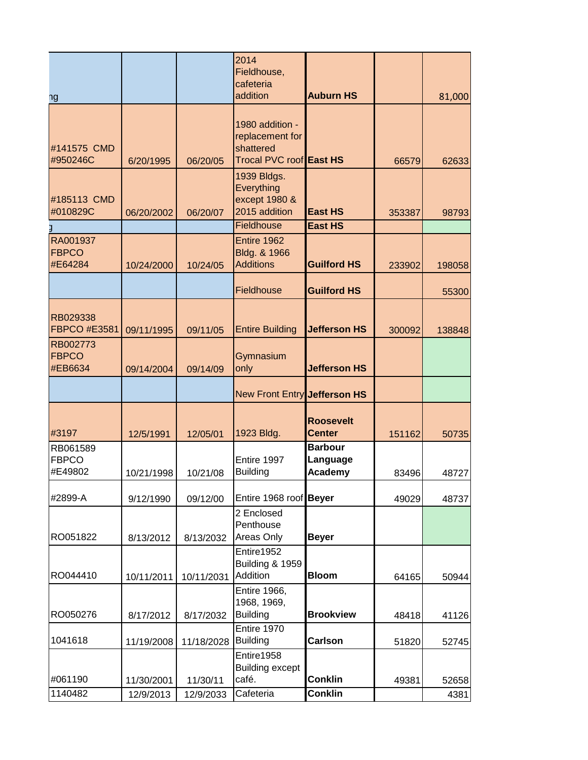|                                     |            |            | 2014<br>Fieldhouse,<br>cafeteria                                           |                                       |        |        |
|-------------------------------------|------------|------------|----------------------------------------------------------------------------|---------------------------------------|--------|--------|
| ٦g                                  |            |            | addition                                                                   | <b>Auburn HS</b>                      |        | 81,000 |
| #141575 CMD<br>#950246C             | 6/20/1995  | 06/20/05   | 1980 addition -<br>replacement for<br>shattered<br>Trocal PVC roof East HS |                                       | 66579  | 62633  |
| #185113 CMD<br>#010829C             | 06/20/2002 | 06/20/07   | 1939 Bldgs.<br>Everything<br>except 1980 &<br>2015 addition                | <b>East HS</b>                        | 353387 | 98793  |
|                                     |            |            | Fieldhouse                                                                 | <b>East HS</b>                        |        |        |
| RA001937<br><b>FBPCO</b><br>#E64284 | 10/24/2000 | 10/24/05   | Entire 1962<br>Bldg. & 1966<br><b>Additions</b>                            | <b>Guilford HS</b>                    | 233902 | 198058 |
|                                     |            |            | Fieldhouse                                                                 | <b>Guilford HS</b>                    |        | 55300  |
| RB029338<br><b>FBPCO #E3581</b>     | 09/11/1995 | 09/11/05   | <b>Entire Building</b>                                                     | <b>Jefferson HS</b>                   | 300092 | 138848 |
| RB002773<br><b>FBPCO</b><br>#EB6634 | 09/14/2004 | 09/14/09   | Gymnasium<br>only                                                          | <b>Jefferson HS</b>                   |        |        |
|                                     |            |            | New Front Entry Jefferson HS                                               |                                       |        |        |
| #3197                               | 12/5/1991  | 12/05/01   | 1923 Bldg.                                                                 | <b>Roosevelt</b><br><b>Center</b>     | 151162 | 50735  |
| RB061589<br><b>FBPCO</b><br>#E49802 | 10/21/1998 | 10/21/08   | Entire 1997<br><b>Building</b>                                             | <b>Barbour</b><br>Language<br>Academy | 83496  | 48727  |
| #2899-A                             | 9/12/1990  | 09/12/00   | Entire 1968 roof Beyer                                                     |                                       | 49029  | 48737  |
| RO051822                            | 8/13/2012  | 8/13/2032  | 2 Enclosed<br>Penthouse<br>Areas Only                                      | <b>Beyer</b>                          |        |        |
| RO044410                            | 10/11/2011 | 10/11/2031 | Entire1952<br><b>Building &amp; 1959</b><br>Addition                       | <b>Bloom</b>                          | 64165  | 50944  |
| RO050276                            | 8/17/2012  | 8/17/2032  | Entire 1966,<br>1968, 1969,<br><b>Building</b>                             | <b>Brookview</b>                      | 48418  | 41126  |
| 1041618                             | 11/19/2008 | 11/18/2028 | Entire 1970<br><b>Building</b>                                             | Carlson                               | 51820  | 52745  |
| #061190                             | 11/30/2001 | 11/30/11   | Entire1958<br><b>Building except</b><br>café.                              | <b>Conklin</b>                        | 49381  | 52658  |
| 1140482                             | 12/9/2013  | 12/9/2033  | Cafeteria                                                                  | <b>Conklin</b>                        |        | 4381   |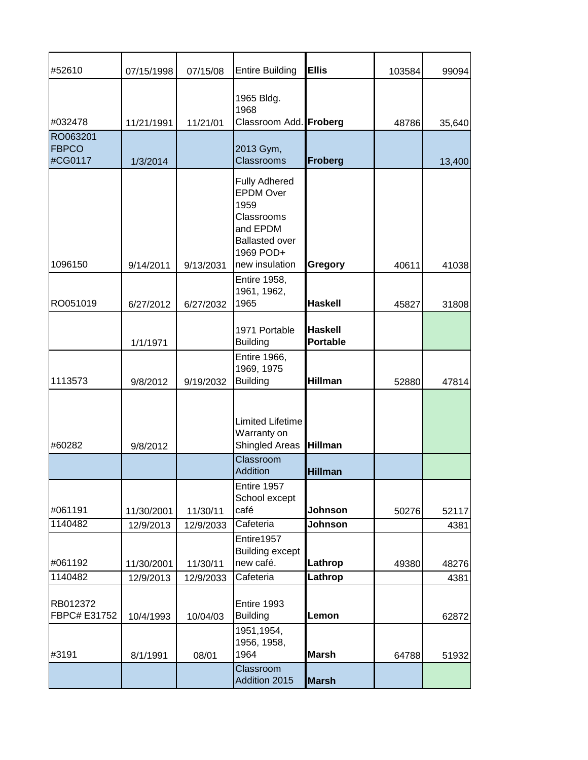| #52610                   | 07/15/1998 | 07/15/08  | <b>Entire Building</b>                                                                                           | <b>Ellis</b>                      | 103584 | 99094  |
|--------------------------|------------|-----------|------------------------------------------------------------------------------------------------------------------|-----------------------------------|--------|--------|
| #032478                  | 11/21/1991 | 11/21/01  | 1965 Bldg.<br>1968<br>Classroom Add. Froberg                                                                     |                                   | 48786  | 35,640 |
| RO063201                 |            |           |                                                                                                                  |                                   |        |        |
| <b>FBPCO</b>             |            |           | 2013 Gym,                                                                                                        |                                   |        |        |
| #CG0117                  | 1/3/2014   |           | <b>Classrooms</b>                                                                                                | <b>Froberg</b>                    |        | 13,400 |
|                          |            |           | <b>Fully Adhered</b><br><b>EPDM Over</b><br>1959<br>Classrooms<br>and EPDM<br><b>Ballasted over</b><br>1969 POD+ |                                   |        |        |
| 1096150                  | 9/14/2011  | 9/13/2031 | new insulation                                                                                                   | Gregory                           | 40611  | 41038  |
| RO051019                 | 6/27/2012  | 6/27/2032 | <b>Entire 1958,</b><br>1961, 1962,<br>1965                                                                       | <b>Haskell</b>                    | 45827  | 31808  |
|                          | 1/1/1971   |           | 1971 Portable<br><b>Building</b>                                                                                 | <b>Haskell</b><br><b>Portable</b> |        |        |
|                          |            |           | Entire 1966,                                                                                                     |                                   |        |        |
| 1113573                  | 9/8/2012   | 9/19/2032 | 1969, 1975<br><b>Building</b>                                                                                    | <b>Hillman</b>                    | 52880  | 47814  |
| #60282                   | 9/8/2012   |           | Limited Lifetime<br>Warranty on<br>Shingled Areas                                                                | <b>Hillman</b>                    |        |        |
|                          |            |           | Classroom<br>Addition                                                                                            | <b>Hillman</b>                    |        |        |
| #061191                  | 11/30/2001 | 11/30/11  | Entire 1957<br>School except<br>café                                                                             | Johnson                           | 50276  | 52117  |
| 1140482                  | 12/9/2013  | 12/9/2033 | Cafeteria                                                                                                        | Johnson                           |        | 4381   |
|                          |            |           | Entire1957                                                                                                       |                                   |        |        |
|                          |            |           | <b>Building except</b>                                                                                           |                                   |        |        |
| #061192                  | 11/30/2001 | 11/30/11  | new café.                                                                                                        | Lathrop                           | 49380  | 48276  |
| 1140482                  | 12/9/2013  | 12/9/2033 | Cafeteria                                                                                                        | Lathrop                           |        | 4381   |
| RB012372<br>FBPC# E31752 | 10/4/1993  | 10/04/03  | Entire 1993<br><b>Building</b>                                                                                   | Lemon                             |        | 62872  |
| #3191                    |            |           | 1951, 1954,<br>1956, 1958,<br>1964                                                                               | <b>Marsh</b>                      |        |        |
|                          | 8/1/1991   | 08/01     |                                                                                                                  |                                   | 64788  | 51932  |
|                          |            |           | Classroom<br>Addition 2015                                                                                       | <b>Marsh</b>                      |        |        |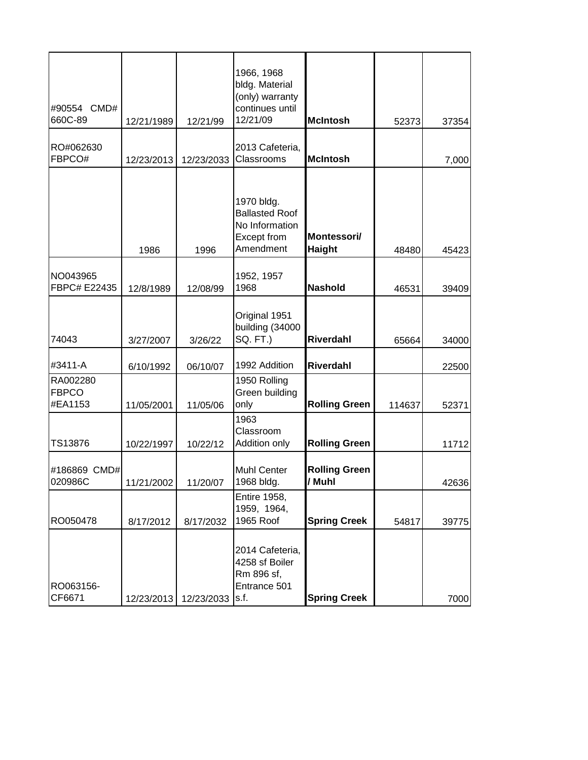| #90554 CMD#                         |            |            | 1966, 1968<br>bldg. Material<br>(only) warranty<br>continues until                |                                |        |       |
|-------------------------------------|------------|------------|-----------------------------------------------------------------------------------|--------------------------------|--------|-------|
| 660C-89                             | 12/21/1989 | 12/21/99   | 12/21/09                                                                          | <b>McIntosh</b>                | 52373  | 37354 |
| RO#062630<br>FBPCO#                 | 12/23/2013 | 12/23/2033 | 2013 Cafeteria,<br>Classrooms                                                     | <b>McIntosh</b>                |        | 7,000 |
|                                     | 1986       | 1996       | 1970 bldg.<br><b>Ballasted Roof</b><br>No Information<br>Except from<br>Amendment | Montessori/<br><b>Haight</b>   | 48480  | 45423 |
| NO043965<br>FBPC# E22435            | 12/8/1989  | 12/08/99   | 1952, 1957<br>1968                                                                | <b>Nashold</b>                 | 46531  | 39409 |
| 74043                               | 3/27/2007  | 3/26/22    | Original 1951<br>building (34000<br>SQ. FT.)                                      | <b>Riverdahl</b>               | 65664  | 34000 |
| #3411-A                             | 6/10/1992  | 06/10/07   | 1992 Addition                                                                     | <b>Riverdahl</b>               |        | 22500 |
| RA002280<br><b>FBPCO</b><br>#EA1153 | 11/05/2001 | 11/05/06   | 1950 Rolling<br>Green building<br>only                                            | <b>Rolling Green</b>           | 114637 | 52371 |
| TS13876                             | 10/22/1997 | 10/22/12   | 1963<br>Classroom<br>Addition only                                                | <b>Rolling Green</b>           |        | 11712 |
| #186869 CMD#<br>020986C             | 11/21/2002 | 11/20/07   | <b>Muhl Center</b><br>1968 bldg.                                                  | <b>Rolling Green</b><br>/ Muhl |        | 42636 |
| RO050478                            | 8/17/2012  | 8/17/2032  | <b>Entire 1958,</b><br>1959, 1964,<br>1965 Roof                                   | <b>Spring Creek</b>            | 54817  | 39775 |
| RO063156-<br>CF6671                 | 12/23/2013 | 12/23/2033 | 2014 Cafeteria,<br>4258 sf Boiler<br>Rm 896 sf,<br>Entrance 501<br>s.f.           | <b>Spring Creek</b>            |        | 7000  |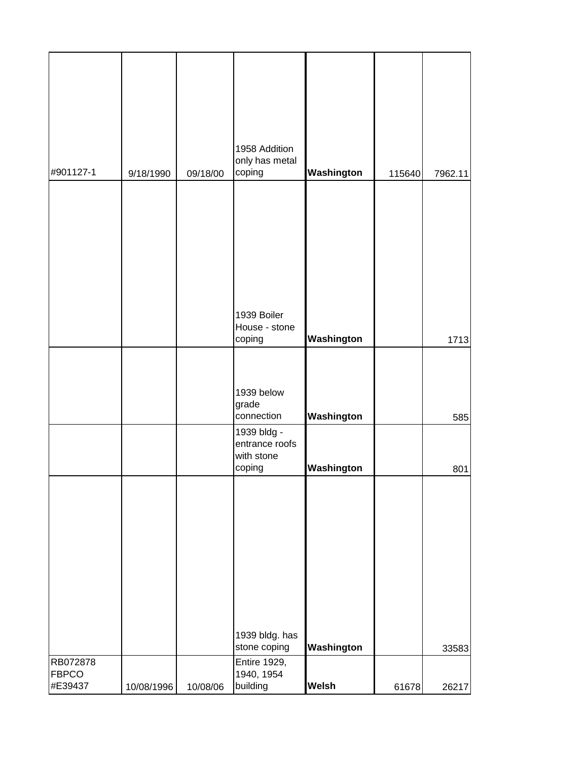| #901127-1               | 9/18/1990  | 09/18/00 | 1958 Addition<br>only has metal<br>coping                           | Washington               | 115640 | 7962.11    |
|-------------------------|------------|----------|---------------------------------------------------------------------|--------------------------|--------|------------|
|                         |            |          |                                                                     |                          |        |            |
|                         |            |          | 1939 Boiler<br>House - stone<br>coping                              | Washington               |        | 1713       |
|                         |            |          | 1939 below<br>grade                                                 |                          |        |            |
|                         |            |          | connection<br>1939 bldg -<br>entrance roofs<br>with stone<br>coping | Washington<br>Washington |        | 585<br>801 |
|                         |            |          | 1939 bldg. has                                                      |                          |        |            |
| RB072878                |            |          | stone coping<br><b>Entire 1929,</b>                                 | Washington               |        | 33583      |
| <b>FBPCO</b><br>#E39437 | 10/08/1996 | 10/08/06 | 1940, 1954<br>building                                              | Welsh                    | 61678  | 26217      |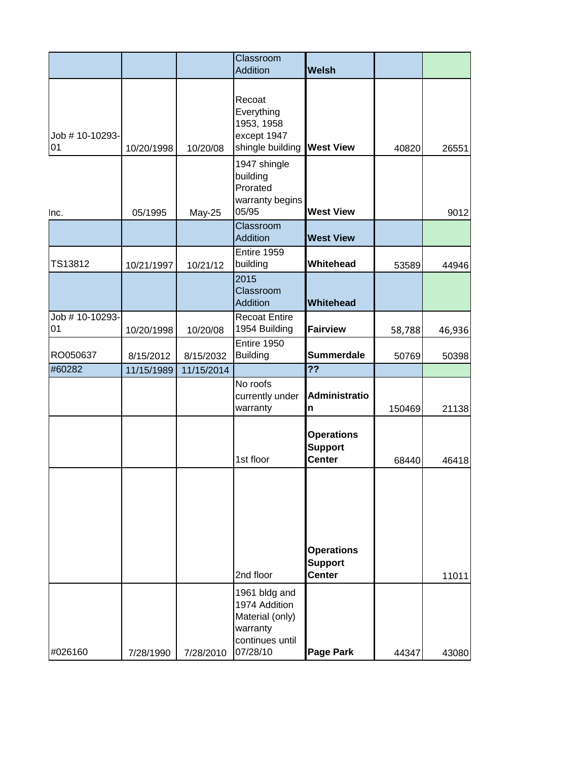|                       |            |            | Classroom<br>Addition                                                 | <b>Welsh</b>                                         |        |        |
|-----------------------|------------|------------|-----------------------------------------------------------------------|------------------------------------------------------|--------|--------|
| Job # 10-10293-<br>01 | 10/20/1998 | 10/20/08   | Recoat<br>Everything<br>1953, 1958<br>except 1947<br>shingle building | <b>West View</b>                                     | 40820  | 26551  |
| Inc.                  | 05/1995    | May-25     | 1947 shingle<br>building<br>Prorated<br>warranty begins<br>05/95      | <b>West View</b>                                     |        | 9012   |
|                       |            |            | Classroom<br>Addition                                                 | <b>West View</b>                                     |        |        |
| TS13812               | 10/21/1997 | 10/21/12   | Entire 1959<br>building                                               | Whitehead                                            | 53589  | 44946  |
|                       |            |            | 2015<br>Classroom<br>Addition                                         | <b>Whitehead</b>                                     |        |        |
| Job # 10-10293-<br>01 | 10/20/1998 | 10/20/08   | <b>Recoat Entire</b><br>1954 Building                                 | <b>Fairview</b>                                      | 58,788 | 46,936 |
| RO050637              | 8/15/2012  | 8/15/2032  | Entire 1950<br><b>Building</b>                                        | <b>Summerdale</b>                                    | 50769  | 50398  |
| #60282                | 11/15/1989 | 11/15/2014 |                                                                       | $\overline{?}$                                       |        |        |
|                       |            |            | No roofs<br>currently under<br>warranty                               | <b>Administratio</b><br>n                            | 150469 | 21138  |
|                       |            |            | 1st floor                                                             | <b>Operations</b><br><b>Support</b><br><b>Center</b> | 68440  | 46418  |
|                       |            |            | 2nd floor<br>1961 bldg and<br>1974 Addition<br>Material (only)        | <b>Operations</b><br><b>Support</b><br><b>Center</b> |        | 11011  |
| #026160               | 7/28/1990  | 7/28/2010  | warranty<br>continues until<br>07/28/10                               | <b>Page Park</b>                                     | 44347  | 43080  |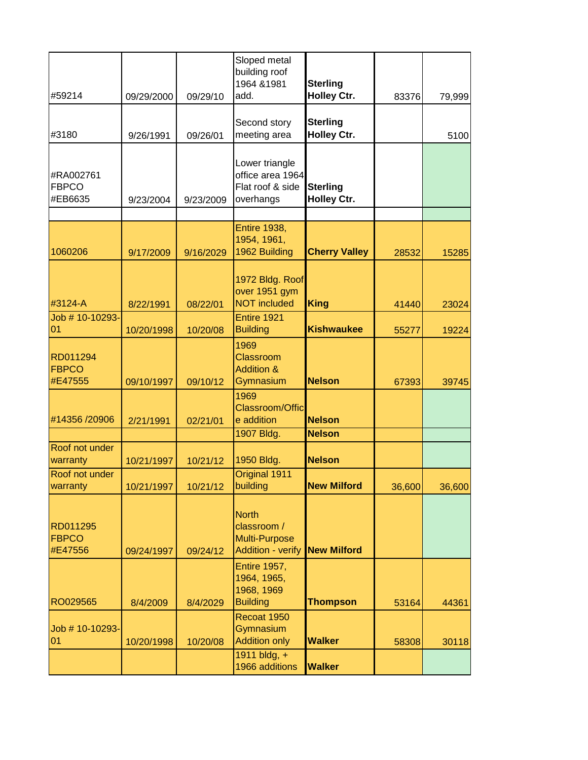| #59214                               | 09/29/2000 | 09/29/10  | Sloped metal<br>building roof<br>1964 & 1981<br>add.                                 | <b>Sterling</b><br><b>Holley Ctr.</b> | 83376  | 79,999 |
|--------------------------------------|------------|-----------|--------------------------------------------------------------------------------------|---------------------------------------|--------|--------|
| #3180                                | 9/26/1991  | 09/26/01  | Second story<br>meeting area                                                         | <b>Sterling</b><br><b>Holley Ctr.</b> |        | 5100   |
| #RA002761<br><b>FBPCO</b><br>#EB6635 | 9/23/2004  | 9/23/2009 | Lower triangle<br>office area 1964<br>Flat roof & side<br>overhangs                  | <b>Sterling</b><br><b>Holley Ctr.</b> |        |        |
|                                      |            |           |                                                                                      |                                       |        |        |
| 1060206                              | 9/17/2009  | 9/16/2029 | <b>Entire 1938,</b><br>1954, 1961,<br>1962 Building                                  | <b>Cherry Valley</b>                  | 28532  | 15285  |
|                                      |            |           | 1972 Bldg. Roof<br>over 1951 gym                                                     |                                       |        |        |
| #3124-A                              | 8/22/1991  | 08/22/01  | <b>NOT included</b>                                                                  | <b>King</b>                           | 41440  | 23024  |
| Job # 10-10293-<br>01                | 10/20/1998 | 10/20/08  | Entire 1921<br><b>Building</b>                                                       | <b>Kishwaukee</b>                     | 55277  | 19224  |
| RD011294<br><b>FBPCO</b><br>#E47555  | 09/10/1997 | 09/10/12  | 1969<br><b>Classroom</b><br><b>Addition &amp;</b><br>Gymnasium                       | <b>Nelson</b>                         | 67393  | 39745  |
| #14356 /20906                        | 2/21/1991  | 02/21/01  | 1969<br>Classroom/Offic<br>e addition                                                | <b>Nelson</b>                         |        |        |
|                                      |            |           | 1907 Bldg.                                                                           | <b>Nelson</b>                         |        |        |
| Roof not under<br>warranty           | 10/21/1997 | 10/21/12  | 1950 Bldg.                                                                           | <b>Nelson</b>                         |        |        |
| Roof not under<br>warranty           | 10/21/1997 | 10/21/12  | Original 1911<br>building                                                            | <b>New Milford</b>                    | 36,600 | 36,600 |
| RD011295<br><b>FBPCO</b><br>#E47556  | 09/24/1997 | 09/24/12  | <b>North</b><br>classroom /<br><b>Multi-Purpose</b><br>Addition - verify New Milford |                                       |        |        |
| RO029565                             |            |           | <b>Entire 1957,</b><br>1964, 1965,<br>1968, 1969<br><b>Building</b>                  | <b>Thompson</b>                       |        |        |
| Job # 10-10293-                      | 8/4/2009   | 8/4/2029  | Recoat 1950<br>Gymnasium                                                             |                                       | 53164  | 44361  |
| 01                                   | 10/20/1998 | 10/20/08  | <b>Addition only</b><br>1911 bldg, +<br>1966 additions                               | <b>Walker</b><br><b>Walker</b>        | 58308  | 30118  |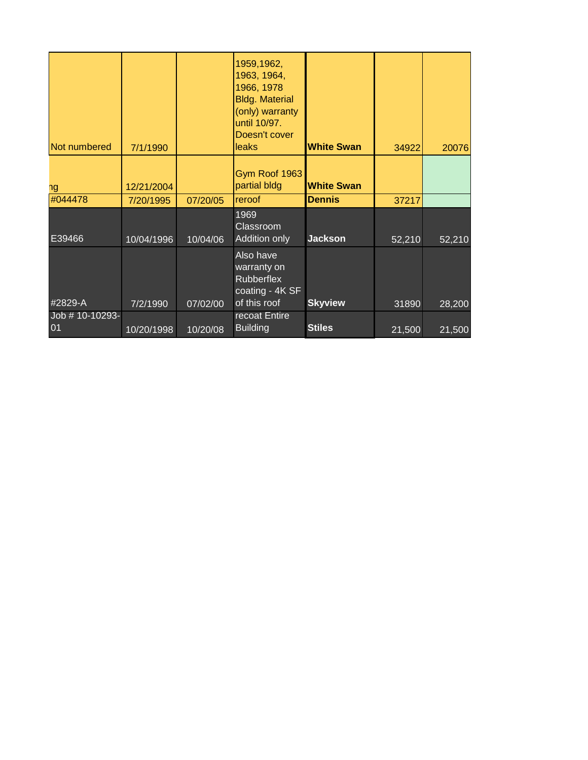| Not numbered          | 7/1/1990   |          | 1959,1962,<br>1963, 1964,<br>1966, 1978<br><b>Bldg. Material</b><br>(only) warranty<br>until 10/97.<br>Doesn't cover<br><b>leaks</b> | <b>White Swan</b> | 34922  | 20076  |
|-----------------------|------------|----------|--------------------------------------------------------------------------------------------------------------------------------------|-------------------|--------|--------|
|                       | 12/21/2004 |          | Gym Roof 1963<br>partial bldg                                                                                                        | <b>White Swan</b> |        |        |
| ٦g<br>#044478         | 7/20/1995  | 07/20/05 | reroof                                                                                                                               | <b>Dennis</b>     | 37217  |        |
| E39466                | 10/04/1996 | 10/04/06 | 1969<br>Classroom<br>Addition only                                                                                                   | <b>Jackson</b>    | 52,210 | 52,210 |
| #2829-A               | 7/2/1990   | 07/02/00 | Also have<br>warranty on<br><b>Rubberflex</b><br>coating - 4K SF<br>of this roof                                                     | <b>Skyview</b>    | 31890  | 28,200 |
| Job # 10-10293-<br>01 | 10/20/1998 | 10/20/08 | recoat Entire<br><b>Building</b>                                                                                                     | <b>Stiles</b>     | 21,500 | 21,500 |